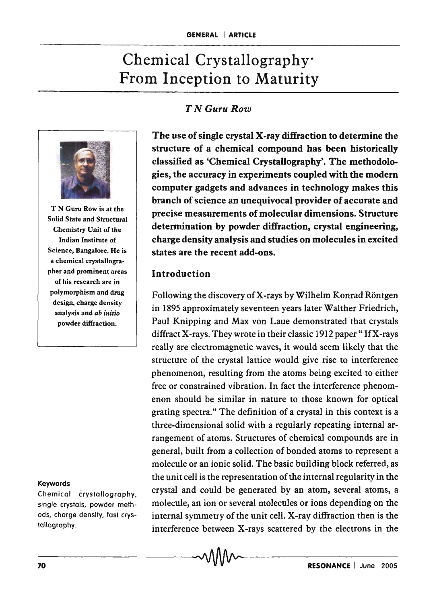# Chemical Crystallography· From Inception to Maturity

## *T NGuruRow*



T N Guru Row is at the Solid State and Structural Chemistry Unit of the Indian Institute of Science, Bangalore. He is a chemical crystallographer and prominent areas of his research are in polymorphism and drug design, charge density analysis and *ab initio*  powder diffraction.

#### Keywords

Chemical crystallography, single crystals, powder methods, charge density, fast crystollogrophy.

The use of single crystal X-ray diffraction to determine the structure of a chemical compound has been historically classified as 'Chemical Crystallography'. The methodologies, the accuracy in experiments coupled with the modem computer gadgets and advances in technology makes this branch of science an unequivocal provider of accurate and precise measurements of molecular dimensions. Structure determination by powder diffraction, crystal engineering, charge density analysis and studies on molecules in excited states are the recent add-ons.

#### Introduction

Following the discovery of X-rays by Wilhelm Konrad Röntgen in 1895 approximately seventeen years later Walther Friedrich, Paul Knipping and Max von Laue demonstrated that crystals diffract X-rays. They wrote in their classic 1912 paper "If X-rays" really are electromagnetic waves, it would seem likely that the structure of the crystal lattice would give rise to interference phenomenon, resulting from the atoms being excited to either free or constrained vibration. In fact the interference phenomenon should be similar in nature to those known for optical grating spectra." The definition of a crystal in this context is a three-dimensional solid with a regularly repeating internal arrangement of atoms. Structures of chemical compounds are in general, built from a collection of bonded atoms to represent a molecule or an ionic solid. The basic building block referred, as the unit cell is the representation of the internal regularity in the crystal and could be generated by an atom, several atoms, a molecule, an ion or several molecules or ions depending on the internal symmetry of the unit cell. X-ray diffraction then is the interference between X-rays scattered by the electrons in the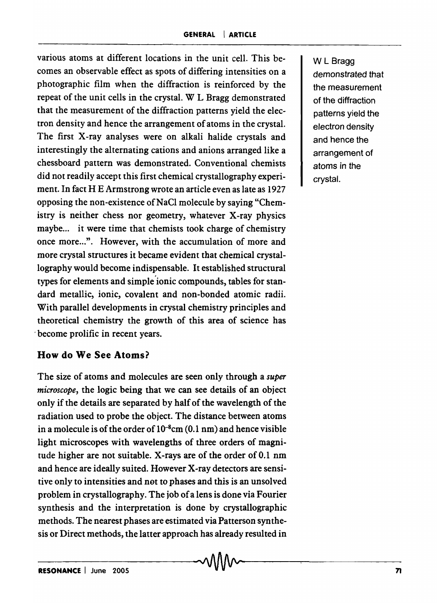various atoms at different locations in the unit cell. This becomes an observable effect as spots of differing intensities on a photographic film when the diffraction is reinforced by the repeat of the unit cells in the crystal. W L Bragg demonstrated that the measurement of the diffraction patterns yield the electron density and hence the arrangement of atoms in the crystal. The first X-ray analyses were on alkali halide crystals and interestingly the alternating cations and anions arranged like a chessboard pattern was demonstrated. Conventional chemists did not readily accept this first chemical crystallography experiment. In fact HE Armstrong wrote an article even as late as 1927 opposing the non-existence of NaCl molecule by saying "Chemistry is neither chess nor geometry, whatever X-ray physics maybe... it were time that chemists took charge of chemistry once more...". However, with the accumulation of more and more crystal structures it became evident that chemical crystallography would become indispensable. It established structural types for elements and simple'ionic compounds, tables for standard metallic, ionic, covalent and non-bonded atomic radii. With parallel developments in crystal chemistry principles and theoretical chemistry the growth of this area of science has . become prolific in recent years.

### **How do We See Atoms?**

The size of atoms and molecules are seen only through a *super microscope,* the logic being that we can see details of an object only if the details are separated by half of the wavelength of the radiation used to probe the object. The distance between atoms in a molecule is of the order of  $10^{-8}$ cm (0.1 nm) and hence visible light microscopes with wavelengths of three orders of magnitude higher are not suitable. X-rays are of the order of 0.1 nm and hence are ideally suited. However X-ray detectors are sensitive only to intensities and net to phases and this is an unsolved problem in crystallography. The job of a lens is done via Fourier synthesis and the interpretation is done by crystallographic methods. The nearest phases are estimated via Patterson synthesis or Direct methods, the latter approach has already resulted in

W L Bragg demonstrated that the measurement of the diffraction patterns yield the electron density and hence the arrangement of atoms in the crystal.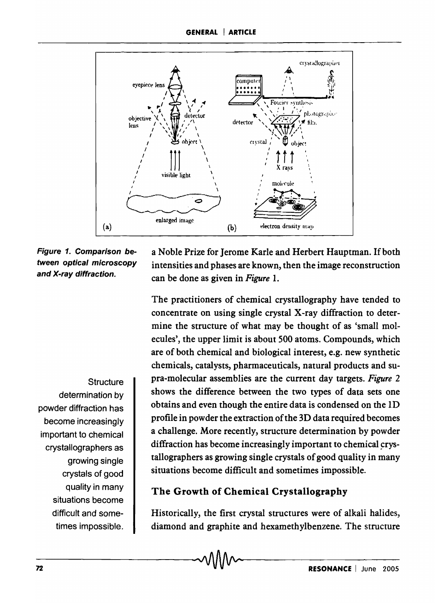

#### Figure 1. Comparison between optical microscopy and X-ray diffraction.

a Noble Prize for Jerome Karle and Herbert Hauptman. If both intensities and phases are known, then the image reconstruction can be done as given in *Figure 1.* 

The practitioners of chemical crystallography have tended to concentrate on using single crystal X-ray diffraction to determine the structure of what may be thought of as 'small molecules', the upper limit is about 500 atoms. Compounds, which are of both chemical and biological interest, e.g. new synthetic chemicals, catalysts, pharmaceuticals, natural products and supra-molecular assemblies are the current day targets. *Figure 2*  shows the difference between the two types of data sets one obtains and even though the entire data is condensed on the ID profile in powder the extraction of the 3D data required becomes a challenge. More recently, structure determination by powder diffraction has become increasingly important to chemical crystallographers as growing single crystals of good quality in many situations become difficult and sometimes impossible.

# The Growth of Chemical Crystallography

Historically, the first crystal structures were of alkali halides, diamond and graphite and hexamethylbenzene. The structure

**Structure** determination by powder diffraction has become increasingly important to chemical crystallographers as growing single crystals of good quality in many situations become difficult and sometimes impossible.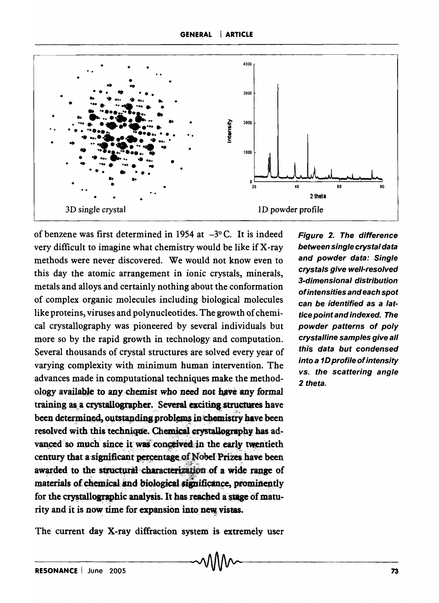

of benzene was first determined in 1954 at  $-3$ °C. It is indeed very difficult to imagine what chemistry would be like if X-ray methods were never discovered. We would not know even to this day the atomic arrangement in ionic crystals, minerals, metals and alloys and certainly nothing about the conformation of complex organic molecules including biological molecules like proteins, viruses and polynucleotides. The growth of chemical crystallography was pioneered by several individuals but more so by the rapid growth in technology and computation. Several thousands of crystal structures are solved every year of varying complexity with minimum human intervention. The advances made in computational techniques make the methodology available to any chemist who need not have any formal training as a crystallographer. Several exciting structures have been determined, outstanding problems in chemistry have been resolved with this technique. Chemical crystallography has advanced so much since it was conceived in the early twentieth century that a significant percentage of Nobel Prizes have been awarded to the structural characterization of a wide range of materials of chemical and biological significance, prominently for the crystallographic analysis. It has reached a stage of matumaterials of chemical and biological significance, prominently rity and it is now time for expansion into new vistas.

Figure 2. The difference between single crystal data and powder data: Single crystals give well-resolved 3-dimensional distribution of intensities and each spot can be identified as a lattice point and indexed. The powder patterns of poly crystalline samples give all this data but condensed into a 1D profile of intensity vs. the scattering angle 2 theta.

The current day X-ray diffraction system is extremely user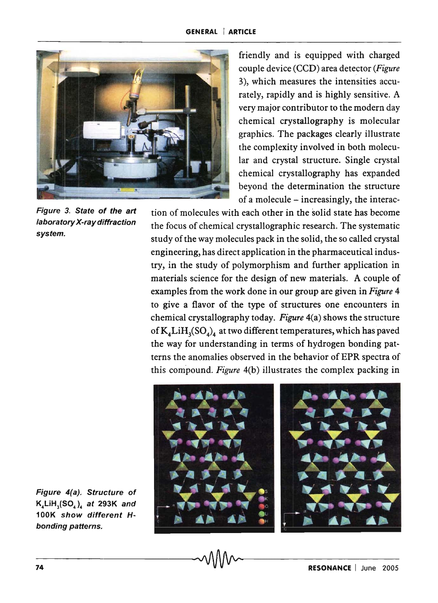

Figure 3. State of the art laboratory X-ray diffraction system.

friendly and is equipped with charged couple device (CCD) area detector *(Figure*  3), which measures the intensities accurately, rapidly and is highly sensitive. A very major contributor to the modern day chemical crystallography is molecular graphics. The packages clearly illustrate the complexity involved in both molecular and crystal structure. Single crystal chemical crystallography has expanded beyond the determination the structure of a molecule  $-$  increasingly, the interac-

tion of molecules with each other in the solid state has become the focus of chemical crystallographic research. The systematic study of the way molecules pack in the solid, the so called crystal engineering, has direct application in the pharmaceutical industry, in the study of polymorphism and further application in materials science for the design of new materials. A couple of examples from the work done in our group are given in *Figure* 4 to give a flavor of the type of structures one encounters in chemical crystallography today. *Figure* 4(a) shows the structure of  $K_4LiH_3(SO_4)$  at two different temperatures, which has paved the way for understanding in terms of hydrogen bonding patterns the anomalies observed in the behavior of EPR spectra of this compound. *Figure* 4(b) illustrates the complex packing in



Figure 4(a). Structure of  $K_4$ LiH<sub>3</sub>(SO<sub>4</sub>), at 293K and 100K show different Hbonding patterns.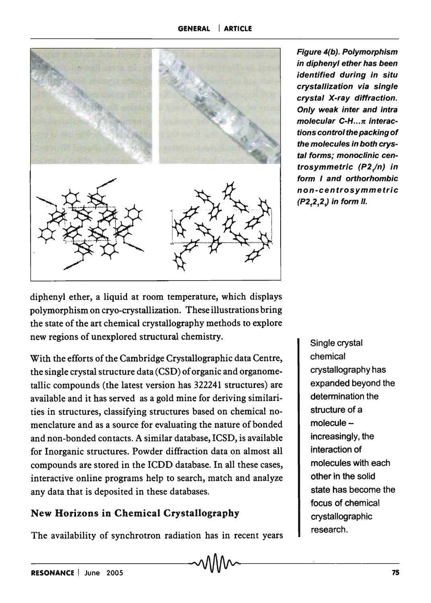

Figure 4(b). Polymorphism in diphenyl ether has been identified during in situ crystallization via single crystal X-ray diffraction. Only weak inter and intra molecular  $C-H...$   $\pi$  interactions control the packing of the molecules in both crystal forms; monoclinic centrosymmetric (P2/n) in form I and orthorhombic non-centrosymmetric (P2,2,2,) in form II.

diphenyl ether, a liquid at room temperature, which displays polymorphism on cryo-crystallization. These illustrations bring the state of the art chemical crystallography methods to explore new regions of unexplored structural chemistry.

With the efforts of the Cambridge Crystallographic data Centre, the single crystal structure data (CSD) of organic and organometallic compounds (the latest version has 322241 structures) are available and it has served as a gold mine for deriving similarities in structures, classifying structures based on chemical nomenclature and as a source for evaluating the nature of bonded and non-bonded contacts. A similar database, ICSD, is available for Inorganic structures. Powder diffraction data on almost all compounds are stored in the ICDD database. In all these cases, interactive online programs help to search, match and analyze any data that is deposited in these databases.

# New Horizons in Chemical Crystallography

The availability of synchrotron radiation has in recent years

Single crystal chemical crystallography has expanded beyond the determination the structure of a molecule increasingly, the interaction of molecules with each other in the solid state has become the focus of chemical crystallographic research.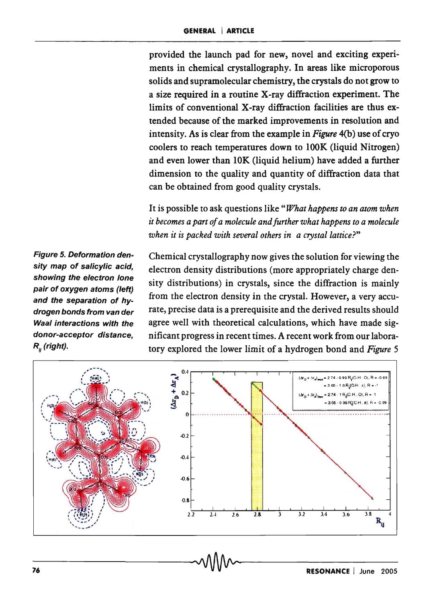provided the launch pad for new, novel and exciting experiments in chemical crystallography. In areas like microporous solids and supramolecular chemistry, the crystals do not grow to a size required in a routine X-ray diffraction experiment. The limits of conventional X-ray diffraction facilities are thus extended because of the marked improvements in resolution and intensity. As is clear from the example in *Figure* 4(b) use of cryo coolers to reach temperatures down to lOOK (liquid Nitrogen) and even lower than 10K (liquid helium) have added a futther dimension to the quality and quantity of diffraction data that can be obtained from good quality crystals.

It is possible to ask questions like *"What happens to an atom when it becomes a part of a molecule and further what happens to a molecule when it is packed with several others in a crystal lattice?"* 

Figure 5. Deformation density map of salicylic acid, showing the electron lone pair of oxygen atoms (left) and the separation of hydrogen bonds from van der Waal interactions with the donor-acceptor distance,  $R_{\mu}$  (right).

Chemical crystallography now gives the solution for viewing the electron density distributions (more appropriately charge density distributions) in crystals, since the diffraction is mainly from the electron density in the crystal. However, a very accurate, precise data is a prerequisite and the derived results should agree well with theoretical calculations, which have made significant progress in recent times. A recent work from our laboratory explored the lower limit of a hydrogen bond and *Figure 5*